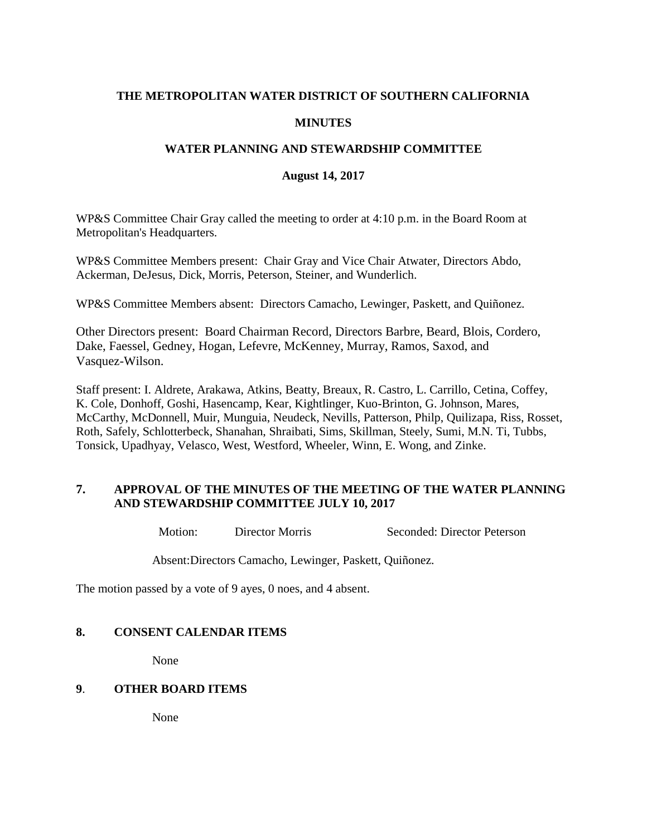### **THE METROPOLITAN WATER DISTRICT OF SOUTHERN CALIFORNIA**

## **MINUTES**

### **WATER PLANNING AND STEWARDSHIP COMMITTEE**

#### **August 14, 2017**

WP&S Committee Chair Gray called the meeting to order at 4:10 p.m. in the Board Room at Metropolitan's Headquarters.

WP&S Committee Members present: Chair Gray and Vice Chair Atwater, Directors Abdo, Ackerman, DeJesus, Dick, Morris, Peterson, Steiner, and Wunderlich.

WP&S Committee Members absent: Directors Camacho, Lewinger, Paskett, and Quiñonez.

Other Directors present: Board Chairman Record, Directors Barbre, Beard, Blois, Cordero, Dake, Faessel, Gedney, Hogan, Lefevre, McKenney, Murray, Ramos, Saxod, and Vasquez-Wilson.

Staff present: I. Aldrete, Arakawa, Atkins, Beatty, Breaux, R. Castro, L. Carrillo, Cetina, Coffey, K. Cole, Donhoff, Goshi, Hasencamp, Kear, Kightlinger, Kuo-Brinton, G. Johnson, Mares, McCarthy, McDonnell, Muir, Munguia, Neudeck, Nevills, Patterson, Philp, Quilizapa, Riss, Rosset, Roth, Safely, Schlotterbeck, Shanahan, Shraibati, Sims, Skillman, Steely, Sumi, M.N. Ti, Tubbs, Tonsick, Upadhyay, Velasco, West, Westford, Wheeler, Winn, E. Wong, and Zinke.

## **7. APPROVAL OF THE MINUTES OF THE MEETING OF THE WATER PLANNING AND STEWARDSHIP COMMITTEE JULY 10, 2017**

Motion: Director Morris Seconded: Director Peterson

Absent:Directors Camacho, Lewinger, Paskett, Quiñonez.

The motion passed by a vote of 9 ayes, 0 noes, and 4 absent.

## **8. CONSENT CALENDAR ITEMS**

None

#### **9**. **OTHER BOARD ITEMS**

None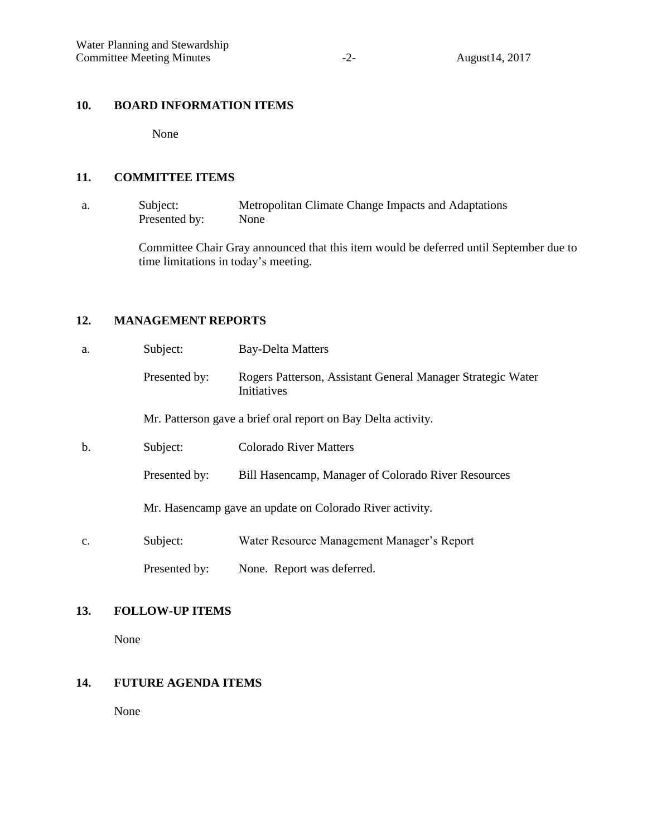# **10. BOARD INFORMATION ITEMS**

None

### **11. COMMITTEE ITEMS**

a. Subject: Metropolitan Climate Change Impacts and Adaptations Presented by: None

> Committee Chair Gray announced that this item would be deferred until September due to time limitations in today's meeting.

## **12. MANAGEMENT REPORTS**

| a.             | Subject:                                                 | <b>Bay-Delta Matters</b>                                                   |
|----------------|----------------------------------------------------------|----------------------------------------------------------------------------|
|                | Presented by:                                            | Rogers Patterson, Assistant General Manager Strategic Water<br>Initiatives |
|                |                                                          | Mr. Patterson gave a brief oral report on Bay Delta activity.              |
| $b$            | Subject:                                                 | <b>Colorado River Matters</b>                                              |
|                | Presented by:                                            | Bill Hasencamp, Manager of Colorado River Resources                        |
|                | Mr. Hasencamp gave an update on Colorado River activity. |                                                                            |
| $\mathbf{c}$ . | Subject:                                                 | Water Resource Management Manager's Report                                 |
|                | Presented by:                                            | None. Report was deferred.                                                 |

# **13. FOLLOW-UP ITEMS**

None

# **14. FUTURE AGENDA ITEMS**

None